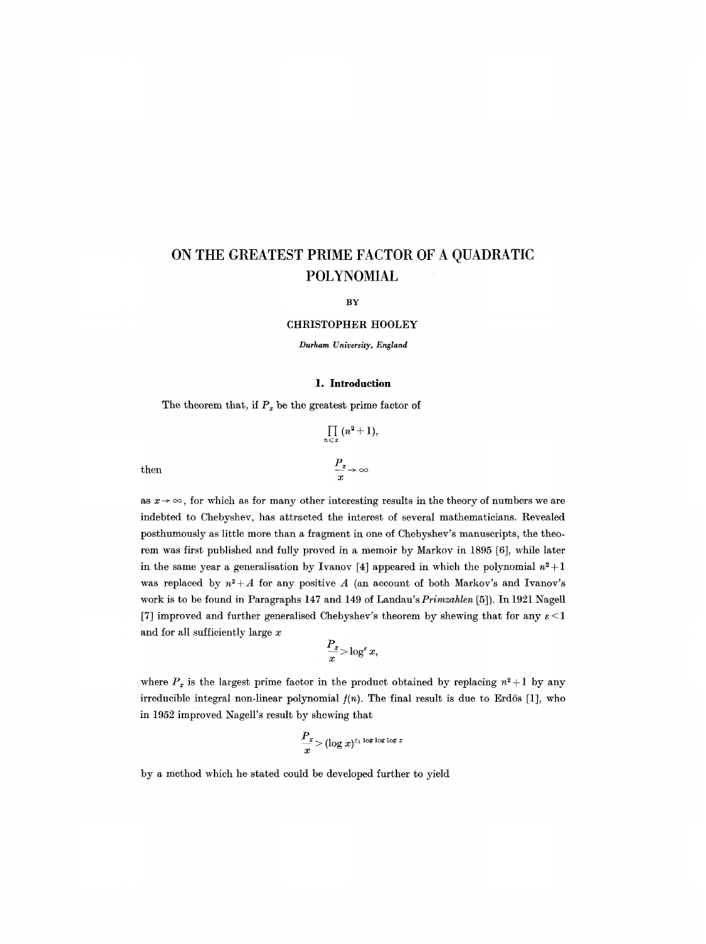# **ON THE GREATEST PRIME FACTOR OF A QUADRATIC POLYNOMIAL**

BY

#### CHRISTOPHER HOOLEY

*Durham University, England* 

#### **1. Introduction**

The theorem that, if  $P<sub>x</sub>$  be the greatest prime factor of

$$
\prod_{n \leqslant x} (n^2 + 1),
$$
  
then  

$$
\frac{P_x}{x} \to \infty
$$

as  $x \rightarrow \infty$ , for which as for many other interesting results in the theory of numbers we are indebted to Chebyshev, has attracted the interest of several mathematicians. Revealed posthumously as little more than a fragment in one of Chebyshev's manuscripts, the theorem was first published and fully proved in a memoir by Markov in 1895 [6], while later in the same year a generalisation by Ivanov [4] appeared in which the polynomial  $n^2+1$ was replaced by  $n^2+A$  for any positive A (an account of both Markov's and Ivanov's work is to be found in Paragraphs 147 and 149 of Landau's *Primzahlen* [5]). In 1921 Nagell [7] improved and further generalised Chebyshev's theorem by shewing that for any  $\varepsilon < 1$ and for all sufficiently large x

$$
\frac{P_x}{x} \!\!>\!\log^\varepsilon x,
$$

where  $P_x$  is the largest prime factor in the product obtained by replacing  $n^2+1$  by any irreducible integral non-linear polynomial  $f(n)$ . The final result is due to Erdös [1], who in 1952 improved Nagell's result by shewing that

$$
\frac{P_x}{x} > (\log x)^{c_1 \log \log \log x}
$$

by a method which he stated could be developed further to yield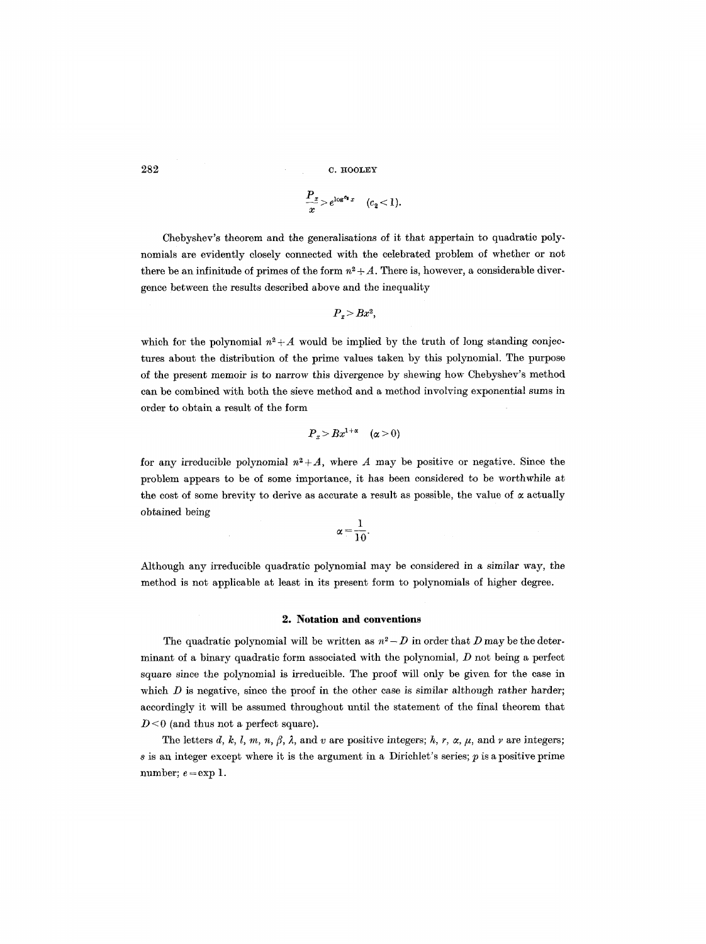$282$  c.  $H00L EY$ 

$$
\frac{P_x}{x} > e^{\log^{c_2} x} \quad (c_2 < 1).
$$

Chebyshev's theorem and the generalisations of it that appertain to quadratic polynomials are evidently closely connected with the celebrated problem of whether or not there be an infinitude of primes of the form  $n^2 + A$ . There is, however, a considerable divergence between the results described above and the inequality

$$
P_x > Bx^2,
$$

which for the polynomial  $n^2 + A$  would be implied by the truth of long standing conjectures about the distribution of the prime values taken by this polynomial. The purpose of the present memoir is to narrow this divergence by shewing how Chebyshev's method can be combined with both the sieve method and a method involving exponential sums in order to obtain a result of the form

$$
P_x > Bx^{1+\alpha} \quad (\alpha > 0)
$$

for any irreducible polynomial  $n^2+A$ , where A may be positive or negative. Since the problem appears to be of some importance, it has been considered to be worthwhile at the cost of some brevity to derive as accurate a result as possible, the value of  $\alpha$  actually obtained being

$$
\alpha = \frac{1}{10}.
$$

Although any irreducible quadratic polynomial may be considered in a similar way, the method is not applicable at least in its present form to polynomials of higher degree.

#### **2. Notation and conventions**

The quadratic polynomial will be written as  $n^2 - D$  in order that D may be the determinant of a binary quadratic form associated with the polynomial,  $D$  not being a perfect square since the polynomial is irreducible. The proof will only be given for the case in which  $D$  is negative, since the proof in the other case is similar although rather harder; accordingly it will be assumed throughout until the statement of the final theorem that  $D < 0$  (and thus not a perfect square).

The letters d, k, l, m, n,  $\beta$ ,  $\lambda$ , and v are positive integers; h, r,  $\alpha$ ,  $\mu$ , and v are integers;  $s$  is an integer except where it is the argument in a Dirichlet's series;  $p$  is a positive prime number;  $e = \exp 1$ .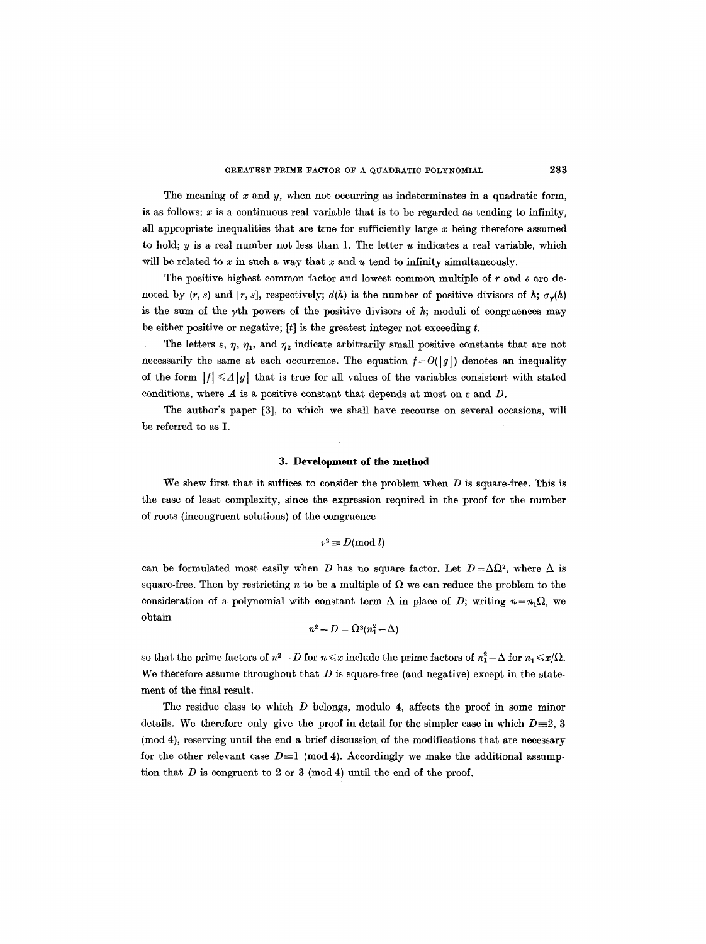The meaning of  $x$  and  $y$ , when not occurring as indeterminates in a quadratic form, is as follows:  $x$  is a continuous real variable that is to be regarded as tending to infinity, all appropriate inequalities that are true for sufficiently large  $x$  being therefore assumed to hold;  $y$  is a real number not less than 1. The letter  $u$  indicates a real variable, which will be related to  $x$  in such a way that  $x$  and  $u$  tend to infinity simultaneously.

The positive highest common factor and lowest common multiple of r and s are denoted by  $(r, s)$  and  $[r, s]$ , respectively;  $d(h)$  is the number of positive divisors of h;  $\sigma_{\gamma}(h)$ is the sum of the  $\gamma$ th powers of the positive divisors of h; moduli of congruences may be either positive or negative;  $[t]$  is the greatest integer not exceeding t.

The letters  $\varepsilon$ ,  $\eta$ ,  $\eta_1$ , and  $\eta_2$  indicate arbitrarily small positive constants that are not necessarily the same at each occurrence. The equation  $f = O(|g|)$  denotes an inequality of the form  $|f| \leq A|g|$  that is true for all values of the variables consistent with stated conditions, where  $A$  is a positive constant that depends at most on  $\varepsilon$  and  $D$ .

The author's paper [3], to which we shall have recourse on several occasions, will be referred to as I.

#### **3. Development of the method**

We shew first that it suffices to consider the problem when  $D$  is square-free. This is the case of least complexity, since the expression required in the proof for the number of roots (incongruent solutions) of the congruence

$$
\textit{v}^{\texttt{2}}\!\equiv\!D(\text{mod }l)
$$

can be formulated most easily when D has no square factor. Let  $D = \Delta\Omega^2$ , where  $\Delta$  is square-free. Then by restricting n to be a multiple of  $\Omega$  we can reduce the problem to the consideration of a polynomial with constant term  $\Delta$  in place of D; writing  $n = n_1 \Omega$ , we obtain

$$
n^2-D=\Omega^2(n_1^2-\Delta)
$$

so that the prime factors of  $n^2 - D$  for  $n \leq x$  include the prime factors of  $n_1^2 - \Delta$  for  $n_1 \leq x/\Omega$ . We therefore assume throughout that  $D$  is square-free (and negative) except in the statement of the final result.

The residue class to which D belongs, modulo 4, affects the proof in some minor details. We therefore only give the proof in detail for the simpler case in which  $D=2, 3$ (mod 4), reserving until the end a brief discussion of the modifications that are necessary for the other relevant case  $D \equiv 1 \pmod{4}$ . Accordingly we make the additional assumption that  $D$  is congruent to 2 or 3 (mod 4) until the end of the proof.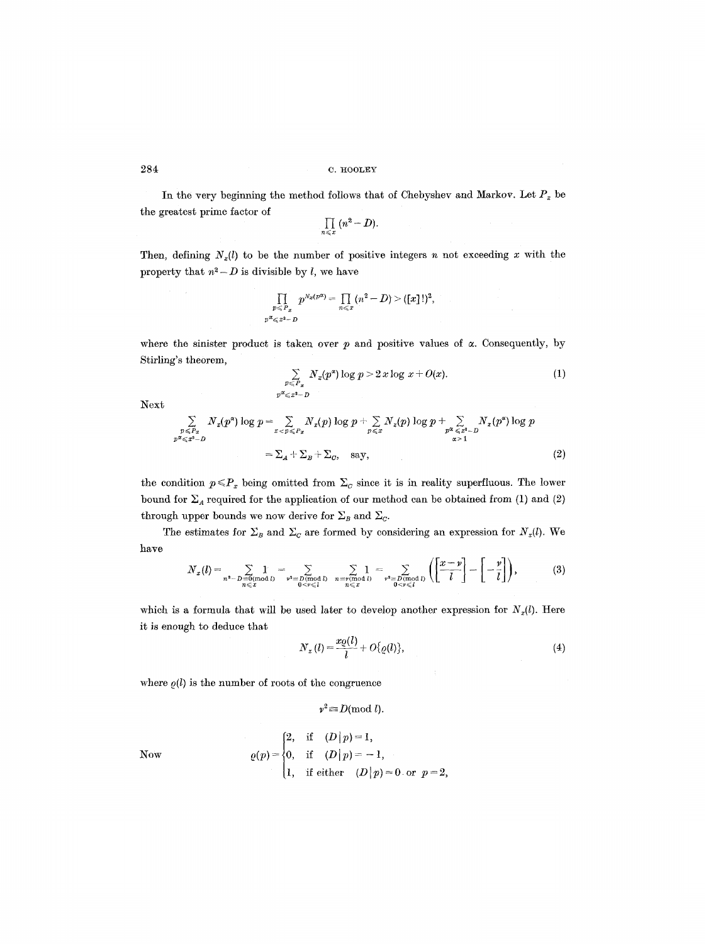In the very beginning the method follows that of Chebyshev and Markov. Let  $P_x$  be the greatest prime factor of

$$
\prod_{n\leqslant x} (n^2-D).
$$

Then, defining  $N_x(l)$  to be the number of positive integers n not exceeding x with the property that  $n^2 - D$  is divisible by l, we have

$$
\prod_{\substack{p\leqslant P_x\\p\alpha\leqslant x^2-D}}p^{N_x(p\alpha)}=\prod_{n\leqslant x}(n^2-D)>([x]!)^2,
$$

where the sinister product is taken over  $p$  and positive values of  $\alpha$ . Consequently, by Stirling's theorem,

$$
\sum_{\substack{p\leqslant P_x\\p\ll x^2-D}} N_x(p^x) \log p > 2 \, x \log x + O(x). \tag{1}
$$

Next

$$
\sum_{\substack{p \leqslant F_x \\ p \ll \xi x^2 - D}} N_x(p^{\alpha}) \log p = \sum_{x < p \leqslant F_x} N_x(p) \log p + \sum_{p \leqslant x} N_x(p) \log p + \sum_{\substack{p^{\alpha} \leqslant x^2 - D \\ \alpha > 1}} N_x(p^{\alpha}) \log p
$$
\n
$$
= \sum_A + \sum_B + \sum_C, \quad \text{say}, \tag{2}
$$

the condition  $p \leq P_x$  being omitted from  $\Sigma_c$  since it is in reality superfluous. The lower bound for  $\Sigma_A$  required for the application of our method can be obtained from (1) and (2) through upper bounds we now derive for  $\Sigma_B$  and  $\Sigma_C$ .

The estimates for  $\Sigma_B$  and  $\Sigma_C$  are formed by considering an expression for *N<sub>x</sub>(l)*. We have

$$
N_x(l) = \sum_{\substack{n^2-D \equiv 0 \pmod{l} \\ n \leq x}} 1 \quad = \sum_{\substack{\mathbf{p}^2 \equiv D \pmod{l} \\ 0 \leq \mathbf{p} \leq l}} \sum_{\substack{n \equiv \mathbf{p} \pmod{l} \\ n \leq x}} 1 \quad = \sum_{\substack{\mathbf{p}^2 \equiv D \pmod{l} \\ 0 \leq \mathbf{p} \leq l}} \left( \left[ \frac{x-\mathbf{p}}{l} \right] - \left[ -\frac{\mathbf{p}}{l} \right] \right),\tag{3}
$$

which is a formula that will be used later to develop another expression for  $N_x(l)$ . Here it is enough to deduce that

$$
N_x(l) = \frac{x_Q(l)}{l} + O\{Q(l)\},\tag{4}
$$

where  $\rho(l)$  is the number of roots of the congruence

$$
v^2 \equiv D \pmod{l}.
$$

$$
\operatorname{\mathbf{Now}}
$$

2, if  $(D|p)=1$ ,  $\varrho(p) = \{0, \text{ if } (D | p) = -1,$  $1, \quad \text{if either} \quad (D \,|\, p) = 0 \ \ \text{or} \ \ p = 2,$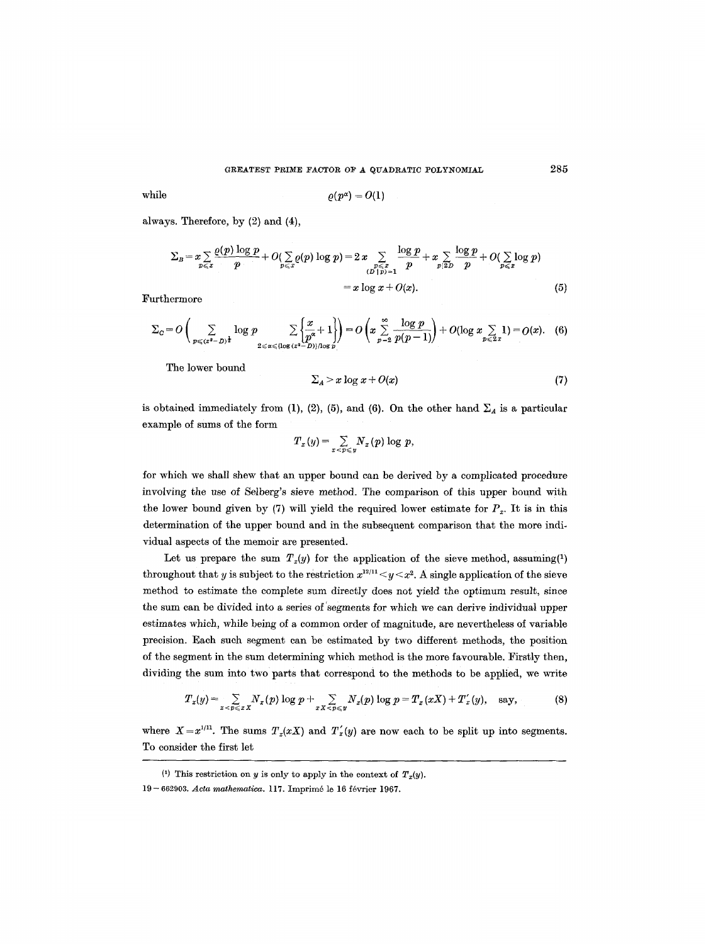$$
\text{while} \qquad \qquad \varrho(p^{\alpha}) = O(1)
$$

always. Therefore, by (2) and (4),

$$
\Sigma_B = x \sum_{p \leqslant x} \frac{\varrho(p) \log p}{p} + O(\sum_{p \leqslant x} \varrho(p) \log p) = 2 \, x \sum_{\substack{p \leqslant x \\ (D \mid p) = 1}} \frac{\log p}{p} + x \sum_{p \mid 2D} \frac{\log p}{p} + O(\sum_{p \leqslant x} \log p) \\ = x \log x + O(x). \tag{5}
$$

Furthermore

$$
\Sigma_{\mathcal{C}} = O\left(\sum_{p \leqslant (x^2 - D)^{\frac{1}{2}}} \log p \sum_{2 \leqslant \alpha \leqslant \{\log(x^2 - D)\}\text{log } p} \left\lfloor \frac{x}{p^{\alpha}} + 1 \right\rfloor\right) = O\left(x \sum_{p=2}^{\infty} \frac{\log p}{p(p-1)}\right) + O(\log x \sum_{p \leqslant 2} 1) = O(x). \quad (6)
$$

The lower bound

$$
\sum_{A} > x \log x + O(x) \tag{7}
$$

is obtained immediately from (1), (2), (5), and (6). On the other hand  $\Sigma_A$  is a particular example of sums of the form

$$
T_x(y) = \sum_{x < p \leqslant y} N_x(p) \log p,
$$

for which we shall shew that an upper bound can be derived by a complicated procedure involving the use of Selberg's sieve method. The comparison of this upper bound with the lower bound given by (7) will yield the required lower estimate for  $P_x$ . It is in this determination of the upper bound and in the subsequent comparison that the more individual aspects of the memoir are presented.

Let us prepare the sum  $T_x(y)$  for the application of the sieve method, assuming<sup>(1)</sup> throughout that y is subject to the restriction  $x^{12/11}$   $\lt y \lt x^2$ . A single application of the sieve method to estimate the complete sum directly does not yield the optimum result, since the sum can be divided into a series of 'segments for which we can derive individual upper estimates which, while being of a common order of magnitude, are nevertheless of variable precision. Each such segment can be estimated by two different methods, the position of the segment in the sum determining which method is the more favourable. Firstly then, dividing the sum into two parts that correspond to the methods to be applied, we write

$$
T_x(y) = \sum_{x < p \leq x} N_x(p) \log p + \sum_{xX < p \leq y} N_x(p) \log p = T_x(xX) + T'_x(y), \quad \text{say}, \tag{8}
$$

where  $X=x^{1/11}$ . The sums  $T_x(xX)$  and  $T'_x(y)$  are now each to be split up into segments. To consider the first let

285

<sup>(1)</sup> This restriction on y is only to apply in the context of  $T_x(y)$ .

<sup>19- 662903.</sup> *Acta mathematica.* 117. Imprim6 le 16 f6vrier 1967.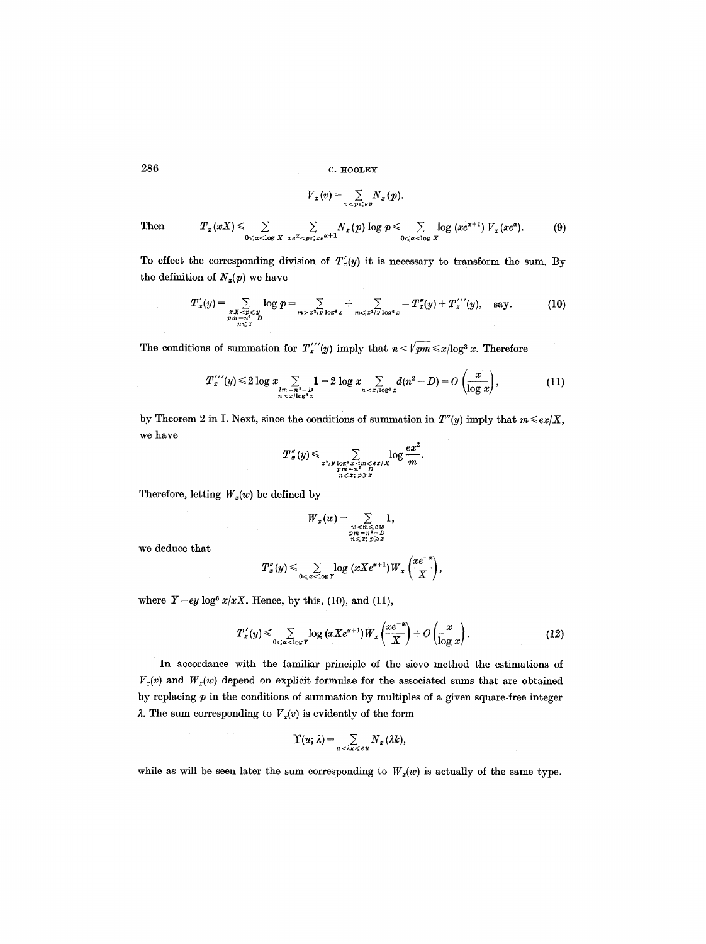$286$  c.  $H00$ LEY

$$
V_x(v) = \sum_{v < p \leqslant e v} N_x(p).
$$

Then 
$$
T_x(xX) \leq \sum_{0 \leq \alpha < \log X} \sum_{x e^{\alpha} < p \leqslant x e^{\alpha+1}} N_x(p) \log p \leq \sum_{0 \leq \alpha < \log X} \log (x e^{\alpha+1}) V_x(x e^{\alpha}).
$$
 (9)

To effect the corresponding division of  $T'_x(y)$  it is necessary to transform the sum. By the definition of  $N_x(p)$  we have

$$
T'_x(y) = \sum_{\substack{x \; x < p \leq y \\ p \; m = -n^2 - D \\ n \leq x}} \log p = \sum_{m > x^2/y} \sum_{\substack{1 \log^4 x}} + \sum_{m \leq x^2/y} \sum_{\substack{1 \log^6 x}} = T''_x(y) + T''_x(y), \quad \text{say.} \tag{10}
$$

The conditions of summation for  $T''''(y)$  imply that  $n < \sqrt{pm} \le x/\log^3 x$ . Therefore

$$
T''_{x}(y) \leq 2 \log x \sum_{\substack{lm=n^{2}-D\\n < x/\log^{2}x}} 1 = 2 \log x \sum_{n < x/\log^{3}x} d(n^{2}-D) = O\left(\frac{x}{\log x}\right),\tag{11}
$$

by Theorem 2 in I. Next, since the conditions of summation in  $T''(y)$  imply that  $m \leq c x/X$ , we have

$$
T''_x(y) \leqslant \sum_{\substack{x^2/y \log^4 x < m \leqslant e x / X \\ pm = n^2 - D \\ n \leqslant x; \ p \geqslant x}} \log \frac{ex^2}{m}.
$$

Therefore, letting  $W_x(w)$  be defined by

$$
W_x(w) = \sum_{\substack{w < m \leqslant e \, w \\ pm = n^2 - D \\ n \leqslant x; \ p \geqslant x}} 1,
$$

we deduce that

$$
T''_x(y) \leqslant \sum_{0 \leqslant \alpha < \log Y} \log (xXe^{\alpha+1}) W_x\left(\frac{xe^{-\alpha}}{X}\right),
$$

where  $Y=ey \log^6 x/xX$ . Hence, by this, (10), and (11),

$$
T'_x(y) \leqslant \sum_{0 \leqslant \alpha < \log Y} \log\left(xXe^{\alpha+1}\right)W_x\left(\frac{xe^{-\alpha}}{X}\right) + O\left(\frac{x}{\log x}\right). \tag{12}
$$

In accordance with the familiar principle of the sieve method the estimations of  $V_x(v)$  and  $W_x(w)$  depend on explicit formulae for the associated sums that are obtained by replacing  $p$  in the conditions of summation by multiples of a given square-free integer  $\lambda$ . The sum corresponding to  $V_x(v)$  is evidently of the form

$$
\Upsilon(u;\lambda)=\sum_{u\,<\lambda k\,\leqslant\,e\,u}N_{x}\,(\lambda k),
$$

while as will be seen later the sum corresponding to  $W_x(w)$  is actually of the same type.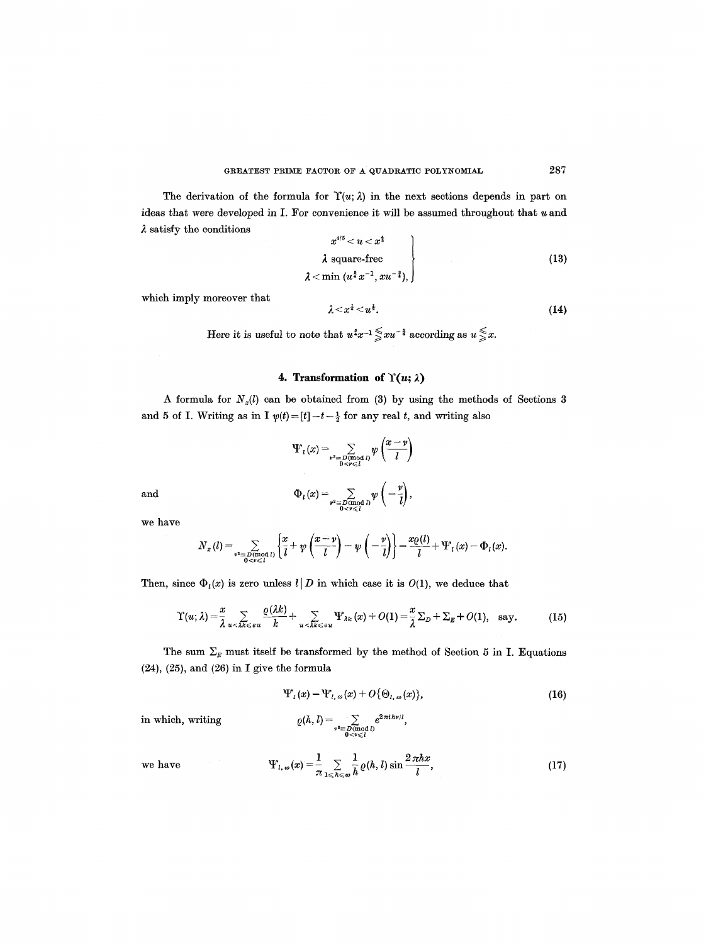The derivation of the formula for  $\Upsilon(u; \lambda)$  in the next sections depends in part on ideas that were *developed* in I. For convenience it will be assumed throughout that u and  $\lambda$  satisfy the conditions

$$
x^{4/5} < u < x^{\frac{1}{3}}
$$
\n
$$
\lambda \text{ square-free}
$$
\n
$$
\lambda < \min (u^{\frac{5}{4}} x^{-1}, xu^{-\frac{3}{4}}),
$$
\n
$$
(13)
$$

which imply moreover that

$$
\lambda \leq x^{\frac{1}{4}} \leq u^{\frac{1}{2}}.\tag{14}
$$

Here it is useful to note that  $u^*x^{-1} \leq xu^{-1}$  according as  $u \leq x$ .

## 4. Transformation of  $\Upsilon(u; \lambda)$

A formula for  $N_x(l)$  can be obtained from (3) by using the methods of Sections 3 and 5 of I. Writing as in I  $\psi(t)=[t]-t-\frac{1}{2}$  for any real t, and writing also

$$
\Psi_l(x) = \sum_{\substack{\mathfrak{p}^2 \equiv D(\text{mod } l) \\ 0 < \mathfrak{p} \leq l}} \psi\left(\frac{x - \mathfrak{p}}{l}\right)
$$
\n
$$
\Phi_l(x) = \sum_{\substack{\mathfrak{p}^2 \equiv D(\text{mod } l) \\ 0 < \mathfrak{p} \leq l}} \psi\left(-\frac{\mathfrak{p}}{l}\right),
$$

and

we have

$$
\begin{pmatrix} x & (x+y) & (x) \\ y & (x+y) & (x) \end{pmatrix}
$$

$$
N_x(l) = \sum_{\substack{\mathbf{v}^2 \equiv D(\text{mod } l) \\ 0 \leq \mathbf{v} \leq l}} \left\{ \frac{x}{l} + \psi\left(\frac{x-\mathbf{v}}{l}\right) - \psi\left(-\frac{\mathbf{v}}{l}\right) \right\} = \frac{L\psi(\mathbf{v})}{l} + \Psi_l(x) - \Phi_l(x).
$$

Then, since  $\Phi_l(x)$  is zero unless  $l|D$  in which case it is  $O(1)$ , we deduce that

$$
\Upsilon(u;\lambda) = \frac{x}{\lambda} \sum_{u < \lambda k \leqslant e u} \frac{\varrho(\lambda k)}{k} + \sum_{u < \lambda k \leqslant e u} \Psi_{\lambda k}(x) + O(1) = \frac{x}{\lambda} \Sigma_D + \Sigma_E + O(1), \text{ say.}
$$
 (15)

The sum  $\Sigma_E$  must itself be transformed by the method of Section 5 in I. Equations (24), (25), and (26) in I give the formula

$$
\Psi_{l}(x) = \Psi_{l,\,\omega}(x) + O\{\Theta_{l,\,\omega}(x)\},\tag{16}
$$

in which, writing  $Q(h, l) = \sum_{\substack{\nu^2 \equiv D(\text{mod } l) \\ 0 \le \nu \le l}} e^{2\pi i \hbar \nu /l},$ 

we have 
$$
\Psi_{l,\,\omega}(x) = \frac{1}{\pi} \sum_{1 \leqslant h \leqslant \omega} \frac{1}{h} \varrho(h,l) \sin \frac{2\pi hx}{l},\tag{17}
$$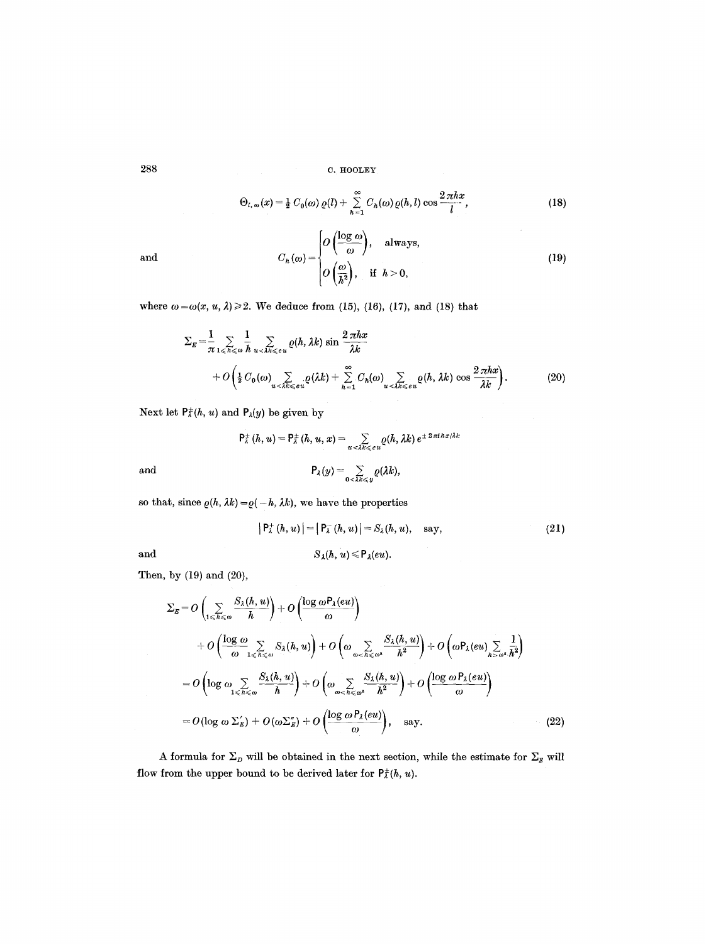$$
\Theta_{l,\,\omega}(x) = \frac{1}{2} C_0(\omega) \varrho(l) + \sum_{h=1}^{\infty} C_h(\omega) \varrho(h,l) \cos \frac{2\pi hx}{l},\tag{18}
$$

and

$$
C_h(\omega) = \begin{cases} O\left(\frac{\log \omega}{\omega}\right), & \text{always,} \\ O\left(\frac{\omega}{h^2}\right), & \text{if } h > 0, \end{cases}
$$
 (19)

where  $\omega = \omega(x, u, \lambda) \ge 2$ . We deduce from (15), (16), (17), and (18) that

$$
\Sigma_E = \frac{1}{\pi} \sum_{1 \leq h \leq \omega} \frac{1}{h} \sum_{u < \lambda k \leq \epsilon u} \varrho(h, \lambda k) \sin \frac{2\pi hx}{\lambda k} + O\left(\frac{1}{2} C_0(\omega) \sum_{u < \lambda k \leq \epsilon u} \varrho(\lambda k) + \sum_{h=1}^{\infty} C_h(\omega) \sum_{u < \lambda k \leq \epsilon u} \varrho(h, \lambda k) \cos \frac{2\pi hx}{\lambda k}\right). \tag{20}
$$

Next let  $P_{\lambda}^{\pm}(h, u)$  and  $P_{\lambda}(y)$  be given by

$$
\mathsf{P}_{\lambda}^{\pm}(h, u) = \mathsf{P}_{\lambda}^{\pm}(h, u, x) = \sum_{u < \lambda k \leq e u} \varrho(h, \lambda k) e^{\pm 2\pi i h x / \lambda k}
$$
  
and  

$$
\mathsf{P}_{\lambda}(y) = \sum_{0 < \lambda k \leqslant y} \varrho(\lambda k),
$$

so that, since  $\rho(h, \lambda k)=\rho(-h, \lambda k)$ , we have the properties

$$
|P_{\lambda}^{+}(h, u)| = |P_{\lambda}^{-}(h, u)| = S_{\lambda}(h, u), \text{ say,}
$$
\n
$$
S_{\lambda}(h, u) \leq P_{\lambda}(eu).
$$
\n(21)

and

Then, by 
$$
(19)
$$
 and  $(20)$ ,

$$
\Sigma_{E} = O\left(\sum_{1 \leq h \leq \omega} \frac{S_{\lambda}(h, u)}{h}\right) + O\left(\frac{\log \omega P_{\lambda}(eu)}{\omega}\right)
$$
  
+ 
$$
O\left(\frac{\log \omega}{\omega} \sum_{1 \leq h \leq \omega} S_{\lambda}(h, u)\right) + O\left(\omega \sum_{\omega < h \leq \omega^{2}} \frac{S_{\lambda}(h, u)}{h^{2}}\right) + O\left(\omega P_{\lambda}(eu) \sum_{h > \omega^{2}} \frac{1}{h^{2}}\right)
$$
  
= 
$$
O\left(\log \omega \sum_{1 \leq h \leq \omega} \frac{S_{\lambda}(h, u)}{h}\right) + O\left(\omega \sum_{\omega < h \leq \omega^{2}} \frac{S_{\lambda}(h, u)}{h^{2}}\right) + O\left(\frac{\log \omega P_{\lambda}(eu)}{\omega}\right)
$$
  
= 
$$
O(\log \omega \Sigma_{E}') + O(\omega \Sigma_{E}'') + O\left(\frac{\log \omega P_{\lambda}(eu)}{\omega}\right), \text{ say.}
$$
 (22)

A formula for  $\Sigma_{\scriptscriptstyle{D}}$  will be obtained in the next section, while the estimate for  $\Sigma_{\scriptscriptstyle{E}}$  will flow from the upper bound to be derived later for  $P^{\pm}_{\lambda}(h, u)$ .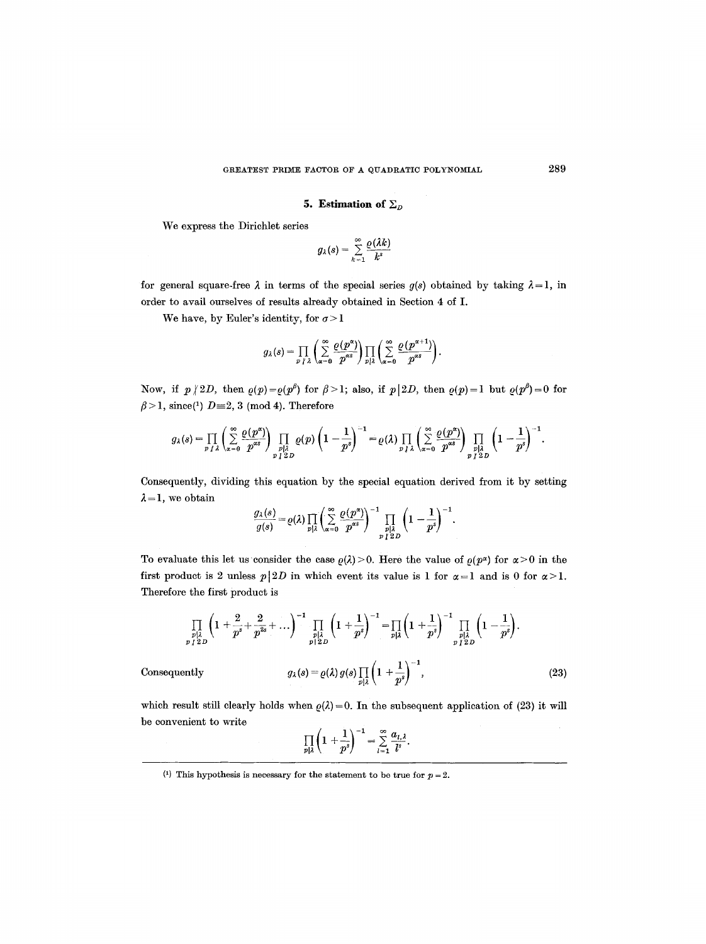#### **5. Estimation of**  $\Sigma<sub>D</sub>$

We express the Dirichlet series

$$
g_{\lambda}(s)=\sum_{k=1}^{\infty}\frac{\varrho(\lambda k)}{k^{s}}
$$

for general square-free  $\lambda$  in terms of the special series  $g(s)$  obtained by taking  $\lambda = 1$ , in order to avail ourselves of results already obtained in Section 4 of I.

We have, by Euler's identity, for  $\sigma > 1$ 

$$
g_{\lambda}(s) = \prod_{p \mid \lambda} \left( \sum_{\alpha=0}^{\infty} \frac{\varrho(p^{\alpha})}{p^{\alpha s}} \right) \prod_{p \mid \lambda} \left( \sum_{\alpha=0}^{\infty} \frac{\varrho(p^{\alpha+1})}{p^{\alpha s}} \right).
$$

Now, if  $p \nmid 2D$ , then  $\rho(p) = \rho(p^{\beta})$  for  $\beta > 1$ ; also, if  $p(2D)$ , then  $\rho(p)=1$  but  $\rho(p^{\beta})=0$  for  $\beta$  > 1, since(1)  $D=2, 3 \pmod{4}$ . Therefore

$$
g_{\lambda}(s) = \prod_{p \mid \lambda} \left( \sum_{\alpha=0}^{\infty} \frac{\varrho(p^{\alpha})}{p^{\alpha s}} \right) \prod_{\substack{p \mid \lambda \\ p \mid \lambda}} \varrho(p) \left( 1 - \frac{1}{p^s} \right)^{-1} = \varrho(\lambda) \prod_{p \mid \lambda} \left( \sum_{\alpha=0}^{\infty} \frac{\varrho(p^{\alpha})}{p^{\alpha s}} \right) \prod_{\substack{p \mid \lambda \\ p \mid \lambda}} \left( 1 - \frac{1}{p^s} \right)^{-1}.
$$

Consequently, dividing this equation by the special equation derived from it by setting  $\lambda = 1$ , we obtain

$$
\frac{g_{\lambda}(s)}{g(s)} = \varrho(\lambda) \prod_{p \mid \lambda} \left( \sum_{\alpha=0}^{\infty} \frac{\varrho(p^{\alpha})}{p^{\alpha s}} \right)^{-1} \prod_{\substack{p \mid \lambda \\ p \mid 2}} \left( 1 - \frac{1}{p^{s}} \right)^{-1}.
$$

To evaluate this let us consider the case  $\rho(\lambda) > 0$ . Here the value of  $\rho(p^{\alpha})$  for  $\alpha > 0$  in the first product is 2 unless  $p|2D$  in which event its value is 1 for  $\alpha=1$  and is 0 for  $\alpha>1$ . Therefore the first product is

$$
\prod_{\substack{p| \lambda \\ p \nmid 2D}} \left(1 + \frac{2}{p^s} + \frac{2}{p^{2s}} + \ldots \right)^{-1} \prod_{\substack{p| \lambda \\ p \mid 2D}} \left(1 + \frac{1}{p^s}\right)^{-1} = \prod_{p| \lambda} \left(1 + \frac{1}{p^s}\right)^{-1} \prod_{\substack{p| \lambda \\ p \nmid 2D}} \left(1 - \frac{1}{p^s}\right).
$$
\n
$$
\text{Consequently} \qquad g_{\lambda}(s) = \varrho(\lambda) \, g(s) \prod_{p| \lambda} \left(1 + \frac{1}{p^s}\right)^{-1},\tag{23}
$$

which result still clearly holds when  $\rho(\lambda)=0$ . In the subsequent application of (23) it will be convenient to write

$$
\prod_{p\mid\lambda}\left(1+\frac{1}{p^s}\right)^{-1}=\sum_{l=1}^{\infty}\frac{a_{l,\lambda}}{l^s}.
$$

<sup>&</sup>lt;sup>(1)</sup> This hypothesis is necessary for the statement to be true for  $p = 2$ .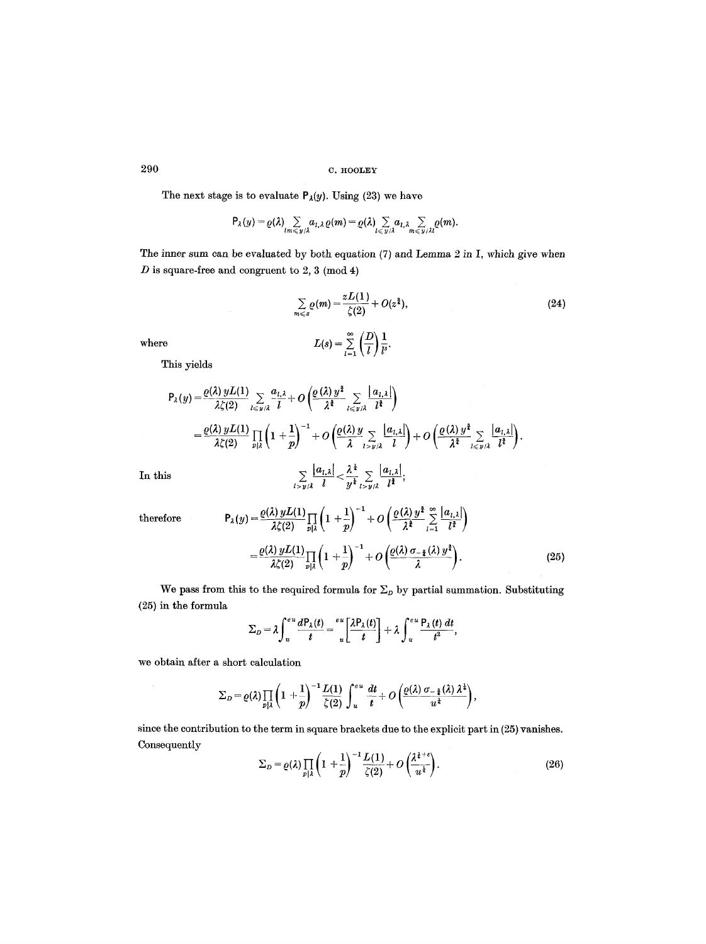The next stage is to evaluate  $P_{\lambda}(y)$ . Using (23) we have

$$
\mathsf{P}_{\lambda}(y) = \varrho(\lambda) \sum_{lm \leqslant y/\lambda} a_{l,\lambda} \varrho(m) = \varrho(\lambda) \sum_{l \leqslant y/\lambda} a_{l,\lambda} \sum_{m \leqslant y/\lambda l} \varrho(m).
$$

The inner sum can be evaluated by both equation (7) and Lemma 2 in I, which give when  $D$  is square-free and congruent to 2, 3 (mod 4)

$$
\sum_{m \leqslant z} \varrho(m) = \frac{zL(1)}{\zeta(2)} + O(z^{\frac{3}{2}}),
$$
\nwhere

\n
$$
L(s) = \sum_{l=1}^{\infty} \left(\frac{D}{l}\right) \frac{1}{l^s}.
$$
\n(24)

This yields

$$
P_{\lambda}(y) = \frac{\varrho(\lambda) yL(1)}{\lambda \zeta(2)} \sum_{l \leq y/\lambda} \frac{a_{l,\lambda}}{l} + O\left(\frac{\varrho(\lambda) y^{\frac{3}{2}}}{\lambda^{\frac{3}{2}}} \sum_{l \leq y/\lambda} \frac{|a_{l,\lambda}|}{l^{\frac{3}{2}}}\right)
$$
  
\n
$$
= \frac{\varrho(\lambda) yL(1)}{\lambda \zeta(2)} \prod_{p|\lambda} \left(1 + \frac{1}{p}\right)^{-1} + O\left(\frac{\varrho(\lambda) y}{\lambda} \sum_{l > y/\lambda} \frac{|a_{l,\lambda}|}{l}\right) + O\left(\frac{\varrho(\lambda) y^{\frac{3}{2}}}{\lambda^{\frac{3}{2}}} \sum_{l \leq y/\lambda} \frac{|a_{l,\lambda}|}{l^{\frac{3}{2}}}\right).
$$
  
\nIn this  
\n
$$
\sum_{l > y/\lambda} \frac{|a_{l,\lambda}|}{l} < \frac{\lambda^{\frac{1}{2}}}{y^{\frac{1}{2}}} \sum_{l > y/\lambda} \frac{|a_{l,\lambda}|}{l^{\frac{3}{2}}},
$$

therefore 
$$
P_{\lambda}(y) = \frac{\varrho(\lambda) y L(1)}{\lambda \zeta(2)} \prod_{p \mid \lambda} \left(1 + \frac{1}{p}\right)^{-1} + O\left(\frac{\varrho(\lambda) y^{\frac{3}{2}}}{\lambda^{\frac{3}{2}}} \sum_{l=1}^{\infty} \frac{|a_{l,\lambda}|}{l^{\frac{3}{2}}}\right)
$$

$$
= \frac{\varrho(\lambda) y L(1)}{\lambda \zeta(2)} \prod_{p \mid \lambda} \left(1 + \frac{1}{p}\right)^{-1} + O\left(\frac{\varrho(\lambda) \sigma_{-\frac{3}{2}}(\lambda) y^{\frac{3}{2}}}{\lambda}\right).
$$
(25)

We pass from this to the required formula for  $\Sigma_D$  by partial summation. Substituting (25) in the formula

$$
\Sigma_D = \lambda \int_u^{eu} \frac{dP_\lambda(t)}{t} = \frac{eu}{u} \left[ \frac{\lambda P_\lambda(t)}{t} \right] + \lambda \int_u^{eu} \frac{P_\lambda(t) dt}{t^2},
$$

we obtain after a short calculation

$$
\Sigma_D = \varrho(\lambda) \prod_{p \mid \lambda} \left(1 + \frac{1}{p}\right)^{-1} \frac{L(1)}{\zeta(2)} \int_u^{eu} \frac{dt}{t} + O\left(\frac{\varrho(\lambda) \sigma_{-\frac{3}{4}}(\lambda) \lambda^{\frac{1}{4}}}{u^{\frac{1}{4}}}\right),
$$

since the contribution to the term in square brackets due to the explicit part in (25) vanishes, Consequently

$$
\Sigma_D = \varrho(\lambda) \prod_{p|\lambda} \left( 1 + \frac{1}{p} \right)^{-1} \frac{L(1)}{\zeta(2)} + O\left( \frac{\lambda^{1+\epsilon}}{u^1} \right). \tag{26}
$$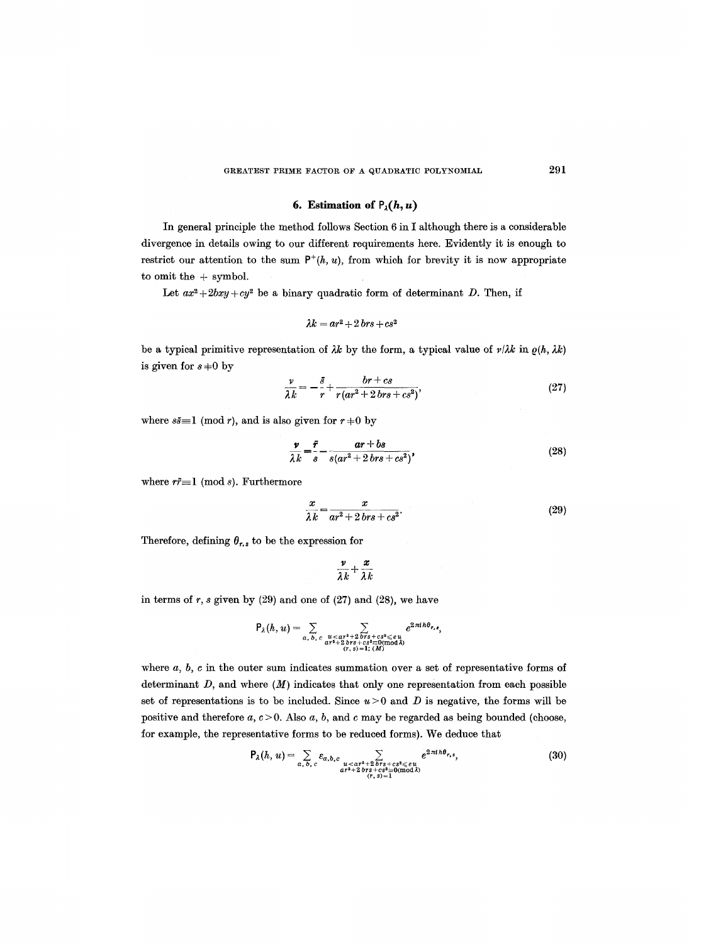### GREATEST PRIME FACTOR OF A QUADRATIC POLYNOMIAL  $291$

## **6. Estimation of**  $P_{\lambda}(h, u)$

In general principle the method follows Section 6 in I although there is a considerable divergence in details owing to our different requirements here. Evidently it is enough to restrict our attention to the sum  $P^+(h, u)$ , from which for brevity it is now appropriate to omit the  $+$  symbol.

Let  $ax^2+2bxy+cy^2$  be a binary quadratic form of determinant D. Then, if

$$
\lambda k = ar^2 + 2 \, brs + cs^2
$$

be a typical primitive representation of  $\lambda k$  by the form, a typical value of  $\nu/\lambda k$  in  $\rho(h, \lambda k)$ is given for  $s \neq 0$  by

$$
\frac{v}{\lambda k} = -\frac{\bar{s}}{r} + \frac{br + cs}{r(ar^2 + 2 brs + cs^2)},\tag{27}
$$

where  $s\bar{s} \equiv 1 \pmod{r}$ , and is also given for  $r \neq 0$  by

$$
\frac{\nu}{\lambda k} = \frac{\bar{r}}{s} - \frac{ar + bs}{s(ar^2 + 2\,br + cs^2)},\tag{28}
$$

where  $r\bar{r}$ =1 (mod s). Furthermore

$$
\frac{x}{\lambda k} = \frac{x}{ar^2 + 2\,brs + cs^2}.\tag{29}
$$

Therefore, defining  $\theta_{r,s}$  to be the expression for

$$
\frac{\nu}{\lambda k}+\frac{x}{\lambda k}
$$

in terms of  $r$ ,  $s$  given by  $(29)$  and one of  $(27)$  and  $(28)$ , we have

$$
P_{\lambda}(h, u) = \sum_{a, b, c} \sum_{\substack{u < ar^2+2 \text{ bits} + cs^2 \leq u \\ ar^2 + 2 \text{ bits} + cs^2 \leq 0 (\text{mod } \lambda) \\ (r, s) = 1; (M)}} e^{2\pi i h \theta_{r, s}},
$$

where  $a, b, c$  in the outer sum indicates summation over a set of representative forms of determinant  $D$ , and where  $(M)$  indicates that only one representation from each possible set of representations is to be included. Since  $u > 0$  and D is negative, the forms will be positive and therefore  $a, c > 0$ . Also  $a, b$ , and  $c$  may be regarded as being bounded (choose, for example, the representative forms to be reduced forms). We deduce that

$$
P_{\lambda}(h, u) = \sum_{a, b, c} \varepsilon_{a, b, c} \sum_{\substack{u < ar^{2} + 2 \text{ or } s + cs^{2} \leq eu \\ ar^{2} + 2 \text{ or } s + cs^{2} \leq eu \\ (r, s) = 1}} e^{2\pi i h \theta_{r, s}}, \tag{30}
$$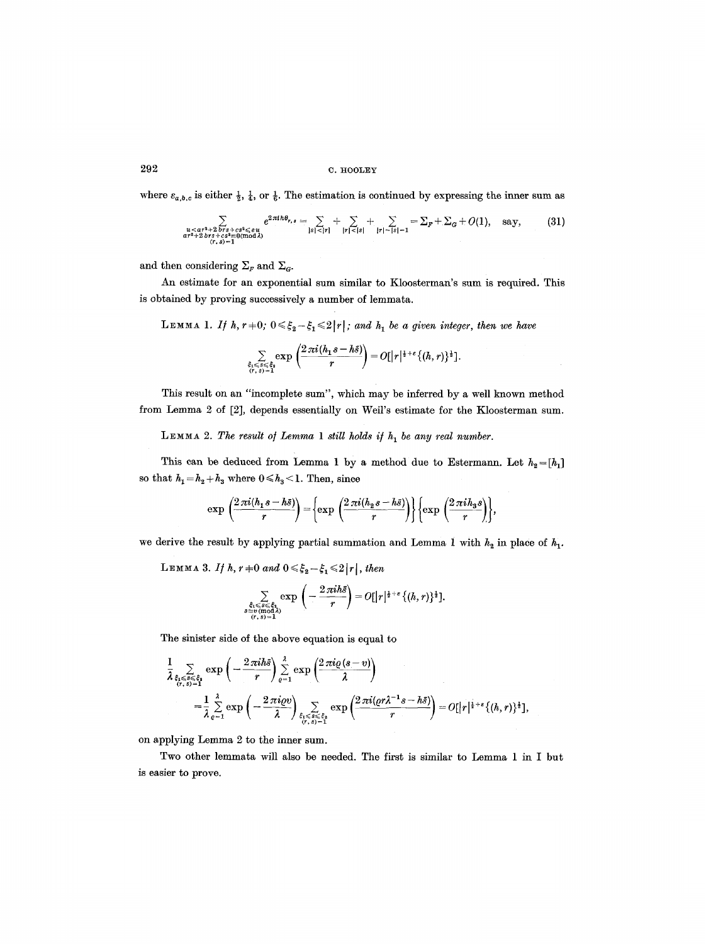# $292$  c.  $h_{\text{HODLEY}}$

where  $\varepsilon_{a,b,c}$  is either  $\frac{1}{2}$ ,  $\frac{1}{4}$ , or  $\frac{1}{6}$ . The estimation is continued by expressing the inner sum as

$$
\sum_{\substack{u < ar^2 + 2 \text{ } brs + cs^3 \leq u \\ ar^2 + 2 \text{ } brs + cs^3 \leq 0 \text{ mod } \lambda}} e^{2\pi i h\theta_{r,s}} = \sum_{|s| < |r|} + \sum_{|r| < |s|} + \sum_{|r| = |s|-1} = \sum_{r} + \sum_{G} + O(1), \text{ say,} \qquad (31)
$$

and then considering  $\Sigma_F$  and  $\Sigma_G$ .

An estimate for an exponential sum similar to Kloosterman's sum is required. This is obtained by proving successively a number of lemmata.

LEMMA 1. If h,  $r=0$ ;  $0 \leq \xi_2 - \xi_1 \leq 2|r|$ ; and  $h_1$  be a given integer, then we have

$$
\sum_{\substack{\xi_1\leqslant s\leqslant\xi_2\\ (r,s)=1}}\exp\left(\frac{2\,\pi i (h_1s-h\tilde s)}{r}\right)=O[\big|r\big|^{ \frac{1}{2}+\varepsilon}\{(h,r)\}^{\frac{1}{2}}].
$$

This result on an "incomplete sum", which may be inferred by a well known method from Lemma 2 of [2], depends essentially on Weil's estimate for the Kloosterman sum.

LEMMA 2. The result of Lemma 1 still holds if  $h_1$  be any real number.

This can be deduced from Lemma 1 by a method due to Estermann. Let  $h_2 = [h_1]$ so that  $h_1 = h_2 + h_3$  where  $0 \le h_3 \le 1$  . Then, since

$$
\exp\left(\frac{2\pi i (h_1s-h\bar{s})}{r}\right)=\left\{\exp\left(\frac{2\pi i (h_2s-h\bar{s})}{r}\right)\right\}\left\{\exp\left(\frac{2\pi i h_3s}{r}\right)\right\},\,
$$

we derive the result by applying partial summation and Lemma 1 with  $h_2$  in place of  $h_1$ .

 $L$ EMMA 3. If h,  $r = 0$  and  $0 \leq \xi_2 - \xi_1 \leq 2|r|$ , then

 $s$ :

$$
\sum_{\substack{\xi_1\leqslant s\leqslant \xi_1\\ \exists v \ (\text{mod } \lambda)\\ (r,s)=1}}\exp\left(-\frac{2\,\pi i h \bar s}{r}\right)=O[\lvert r\rvert^{\frac{1}{2}+\varepsilon}\{(h,r)\}^{\frac{1}{2}}].
$$

The sinister side of the above equation is equal to

$$
\frac{1}{\lambda} \sum_{\substack{\xi_i \leqslant s \leqslant \xi_i \\ (r,s)=1}} \exp\left(-\frac{2\pi i h\bar{s}}{r}\right) \sum_{\varrho=1}^{\lambda} \exp\left(\frac{2\pi i \varrho (s-v)}{\lambda}\right)
$$
\n
$$
= \frac{1}{\lambda} \sum_{\varrho=1}^{\lambda} \exp\left(-\frac{2\pi i \varrho v}{\lambda}\right) \sum_{\substack{\xi_i \leqslant \xi_i \\ (r,s)=1}} \exp\left(\frac{2\pi i (\varrho r \lambda^{-1} s - h\bar{s})}{r}\right) = O[|r|^{\frac{1}{2}+\varepsilon} \{(h,r)\}^{\frac{1}{2}}],
$$

on applying Lemma 2 to the inner sum.

Two other lemmata will also be needed. The first is similar to Lemma 1 in I but is easier to prove.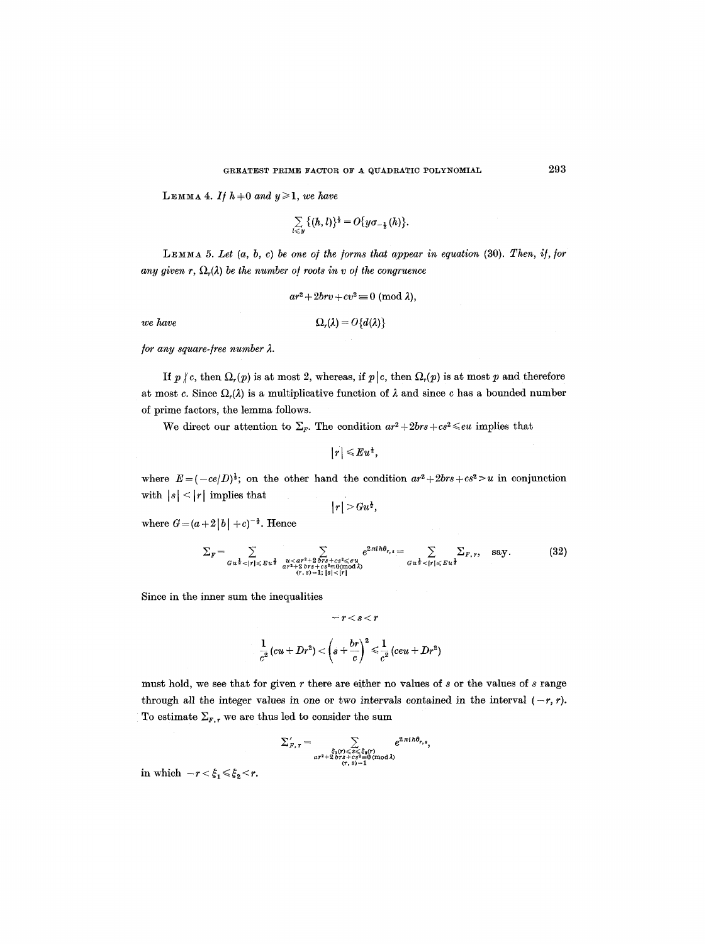**LEMMA 4.** If  $h+0$  and  $y\geq 1$ , we have

$$
\sum_{l\leqslant y}\big\{(h,l)\}^{\frac{1}{2}}=O\{y\sigma_{-\frac{1}{2}}(h)\}.
$$

LEMMA 5. Let (a, b, c) be one of the forms that appear in equation (30). Then, if, for *any given r,*  $\Omega_r(\lambda)$  be the number of roots in v of the congruence

$$
ar^2+2brv+cv^2\equiv 0\ (\mathrm{mod}\ \lambda),
$$

*we have* 

$$
\Omega_r(\lambda)=O\{d(\lambda)\}
$$

*<i>for any square-free number*  $\lambda$ *.* 

If  $p \nmid c$ , then  $\Omega_r(p)$  is at most 2, whereas, if  $p \mid c$ , then  $\Omega_r(p)$  is at most p and therefore at most c. Since  $\Omega_r(\lambda)$  is a multiplicative function of  $\lambda$  and since c has a bounded number of prime factors, the lemma follows.

We direct our attention to  $\Sigma_F$ . The condition  $ar^2 + 2brs + cs^2 \leq e^2u$  implies that

 $|r| \leqslant E u^{\frac{1}{2}}$ 

where  $E = (-ce/D)^{\frac{1}{2}}$ ; on the other hand the condition  $ar^2 + 2brs + cs^2 > u$  in conjunction with  $|s| < |r|$  implies that

$$
\left\vert r\right\vert >Gu^{1},
$$

where  $G = (a+2|b| + c)^{-\frac{1}{2}}$ . Hence

$$
\Sigma_F = \sum_{\substack{G \, u^{\frac{1}{2}} < |r| \le E \, u^{\frac{1}{2}}} \sum_{\substack{u < ar^{2} + 2 \, brs + cs^{2} \le eu \\ ar^{2} + 2 \, brs + cs^{2} \le 0 \, (\text{mod } \lambda)}} e^{2 \pi i h \theta_{r,s}} = \sum_{\substack{G \, u^{\frac{1}{2}} < |r| \le E \, u^{\frac{1}{2}} \\ dr^{2} < |r| \le Eu^{\frac{1}{2}}}} \Sigma_{F, r}, \quad \text{say.} \tag{32}
$$

Since in the inner sum the inequalities

$$
-r
$$

$$
\frac{1}{c^2}(cu+Dr^2)<\left(s+\frac{br}{c}\right)^2\leqslant\frac{1}{c^2}(ceu+Dr^2)
$$

must hold, we see that for given  $r$  there are either no values of  $s$  or the values of  $s$  range through all the integer values in one or two intervals contained in the interval  $(-r, r)$ . To estimate  $\Sigma_{F,r}$  we are thus led to consider the sum

$$
\Sigma_{F,\,r} = \sum_{\substack{\xi_1(r) \leqslant s \leqslant \xi_2(r)\\ ar^2 + 2\, br + cs^2 = 0 \, (\text{mod }\lambda)\\ (r,\,s) = 1}} e^{2\,\pi\, i\,h\theta_{r,\,s}},
$$

in which  $-r < \xi_1 \leq \xi_2 < r$ .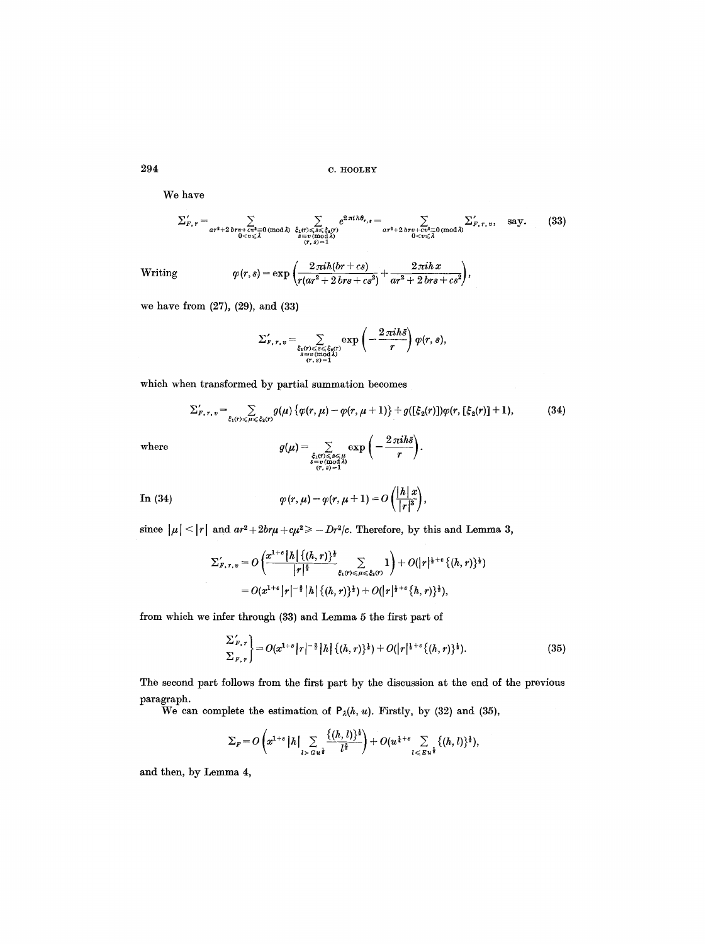We have

$$
\sum_{r, r}^{\prime} = \sum_{\substack{ar^2+2 \, brv + cv^2 \equiv 0 \, (\text{mod } \lambda)}} \sum_{\substack{\xi_1(r) \leq s \leq \xi_3(r) \\ s \equiv v \, (\text{mod } \lambda)}} e^{2 \pi i h \theta_{r,s}} = \sum_{\substack{ar^2+2 \, brv + cv^2 \equiv 0 \, (\text{mod } \lambda) \\ 0 < v \leq \lambda}} \sum_{\substack{r, r, v, \\ s \equiv v \, (\text{mod } \lambda)}}^{\prime} \xi_1(r) \leq s \leq \xi_3(r)} \tag{33}
$$
\nWriting

\n
$$
\varphi(r, s) = \exp\left(\frac{2 \pi i h (br + cs)}{r (ar^2 + 2 \, brs + cs^2)} + \frac{2 \pi i h x}{ar^2 + 2 \, brs + cs^2}\right),
$$

we have from (27), (29), and (33)

$$
\Sigma'_{F,\,r,\,v}=\sum_{\substack{\xi_1(r)\leqslant s\leqslant\xi_2(r)\\s\equiv v\,(\text{mod}\,3)\\(r,\,s)=1}}\exp\left(-\frac{2\,\pi i h\bar{s}}{r}\right)\varphi(r,\,s),
$$

which when transformed by partial summation becomes

$$
\Sigma'_{F,\tau,\,v} = \sum_{\xi_1(r) \leq \mu \leq \xi_2(r)} g(\mu) \left\{ \varphi(r,\mu) - \varphi(r,\mu+1) \right\} + g([\xi_2(r)]) \varphi(r, [\xi_2(r)]+1), \tag{34}
$$
\n
$$
g(\mu) = \sum_{\mu} \exp\left(-\frac{2\pi i \hbar \xi}{\mu}\right).
$$

where

$$
g(\mu) = \sum_{\substack{\xi_1(\tau) \leq s \leq \mu \\ s \equiv v \pmod{\lambda} \\ (\tau, s) = 1}} \exp\left(-\frac{1}{r}\right)
$$

In (34) 
$$
\varphi(r,\mu)-\varphi(r,\mu+1)=O\left(\frac{|\cdot\cdot|}{|r|^3}\right),
$$

since  $|\mu| < |r|$  and  $ar^2 + 2br\mu + c\mu^2 \ge -Dr^2/c$ . Therefore, by this and Lemma 3,

$$
\Sigma'_{F,\,r,\,v} = O\left(\frac{x^{1+\varepsilon} |h| \{ (h,r) \}^{\frac{1}{2}}}{|r|^{\frac{5}{2}}}\sum_{\xi_1(r) \leq \mu \leq \xi_2(r)} 1 \right) + O(|r|^{\frac{1}{2}+\varepsilon} \{ (h,r) \}^{\frac{1}{2}})
$$
  
=  $O(x^{1+\varepsilon} |r|^{-\frac{3}{2}} |h| \{ (h,r) \}^{\frac{1}{2}}) + O(|r|^{\frac{1}{2}+\varepsilon} \{ h,r \}^{\frac{1}{2}}),$ 

from which we infer through (33) and Lemma 5 the first part of

$$
\left\{\n\begin{aligned}\n\sum_{F,\,r}^{'} &= O(x^{1+s} \, | \, r \, | \, -^{\frac{3}{2}} \, | \, h \, | \, \{(h,r)\}^{\frac{1}{2}}) + O(|\, r \, | \, \frac{1+s}{2} \, \{(h,r)\}^{\frac{1}{2}}).\n\end{aligned}\n\right.\n\tag{35}
$$

The second part follows from the first part by the discussion at the end of the previous paragraph.

We can complete the estimation of  $P_{\lambda}(h, u)$ . Firstly, by (32) and (35),

$$
\Sigma_F = O\left(x^{1+\epsilon} |h| \sum_{l > G} \frac{\{(h,l)\}^{\frac{1}{2}}}{l^{\frac{3}{2}}} \right) + O(u^{\frac{1}{4}+\epsilon} \sum_{l \leqslant E} \{(h,l)\}^{\frac{1}{2}}),
$$

and then, by Lemma 4,

 $\hat{\mathcal{A}}$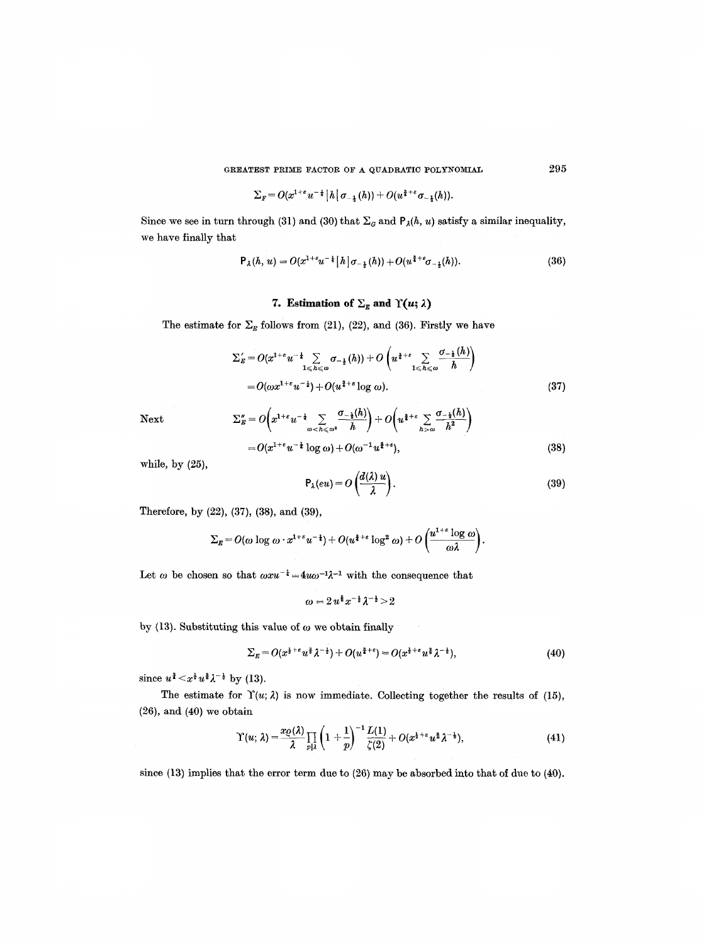GREATEST PRIME FACTOR OF A QUADRATIC POLYNOMIAL  $295$ 

$$
\Sigma_{F}=O(x^{1+\varepsilon}u^{-\frac{1}{4}}\left|h\right|\sigma_{-\frac{1}{4}}(h))+O(u^{\frac{3}{4}+\varepsilon}\sigma_{-\frac{1}{4}}(h)).
$$

Since we see in turn through (31) and (30) that  $\Sigma_G$  and  $P_{\lambda}(h, u)$  satisfy a similar inequality, we have finally that

$$
\mathsf{P}_{\lambda}(h, u) = O(x^{1+\varepsilon}u^{-\frac{1}{4}}|h|\sigma_{-\frac{1}{4}}(h)) + O(u^{\frac{3}{4}+\varepsilon}\sigma_{-\frac{1}{4}}(h)).\tag{36}
$$

# 7. Estimation of  $\Sigma_g$  and  $\Upsilon(u; \lambda)$

The estimate for  $\Sigma_g$  follows from (21), (22), and (36). Firstly we have

$$
\Sigma'_{E} = O(x^{1+\varepsilon} u^{-\frac{1}{4}} \sum_{1 \leqslant h \leqslant \omega} \sigma_{-\frac{1}{2}}(h)) + O\left(u^{\frac{3}{4}+\varepsilon} \sum_{1 \leqslant h \leqslant \omega} \frac{\sigma_{-\frac{1}{2}}(h)}{h}\right) \\
= O(\omega x^{1+\varepsilon} u^{-\frac{1}{4}}) + O(u^{\frac{3}{4}+\varepsilon} \log \omega). \tag{37}
$$

Next 
$$
\sum_{E}'' = O\left(x^{1+\epsilon}u^{-\frac{1}{4}}\sum_{\omega \leq h \leq \omega^{2}}\frac{\sigma_{-\frac{1}{2}}(h)}{h}\right) + O\left(u^{\frac{3}{4}+\epsilon}\sum_{h > \omega}\frac{\sigma_{-\frac{1}{2}}(h)}{h^{2}}\right)
$$

$$
= O(x^{1+\epsilon}u^{-\frac{1}{2}}\log \omega) + O(\omega^{-1}u^{\frac{3}{4}+\epsilon}), \qquad (38)
$$

while, by (25),

$$
P_{\lambda}(eu) = O\left(\frac{d(\lambda) u}{\lambda}\right).
$$
 (39)

Therefore, by (22), (37), (38), and (39),

$$
\Sigma_{E} = O(\omega \log \omega \cdot x^{1+\epsilon} u^{-\frac{1}{4}}) + O(u^{\frac{3}{4}+\epsilon} \log^{2} \omega) + O\left(\frac{u^{1+\epsilon} \log \omega}{\omega \lambda}\right).
$$

Let  $\omega$  be chosen so that  $\omega x u^{-\frac{1}{4}} = 4u\omega^{-1}\lambda^{-1}$  with the consequence that

$$
\omega = 2 u^{\frac{5}{8}} x^{-\frac{1}{2}} \lambda^{-\frac{1}{2}} > 2
$$

by (13). Substituting this value of  $\omega$  we obtain finally

$$
\Sigma_E = O(x^{\frac{1}{2}+\epsilon}u^{\frac{2}{3}}\lambda^{-\frac{1}{2}}) + O(u^{\frac{3}{4}+\epsilon}) = O(x^{\frac{1}{2}+\epsilon}u^{\frac{2}{3}}\lambda^{-\frac{1}{2}}),\tag{40}
$$

 $\sim$   $\sim$ 

since  $u^2 \leq x^{\frac{1}{2}} u^{\frac{3}{2}} \lambda^{-\frac{1}{2}}$  by (13).

The estimate for  $\Upsilon(u; \lambda)$  is now immediate. Collecting together the results of (15), (26), and (40) we obtain

$$
\Upsilon(u;\,\lambda)=\frac{x_Q(\lambda)}{\lambda}\prod_{p|\lambda}\left(1+\frac{1}{p}\right)^{-1}\frac{L(1)}{\zeta(2)}+O(x^{\frac{1}{2}+\epsilon}u^{\frac{3}{2}}\lambda^{-\frac{1}{2}}),\qquad \qquad (41)
$$

since (13) implies that the error term due to (26) may be absorbed into that of due to (40).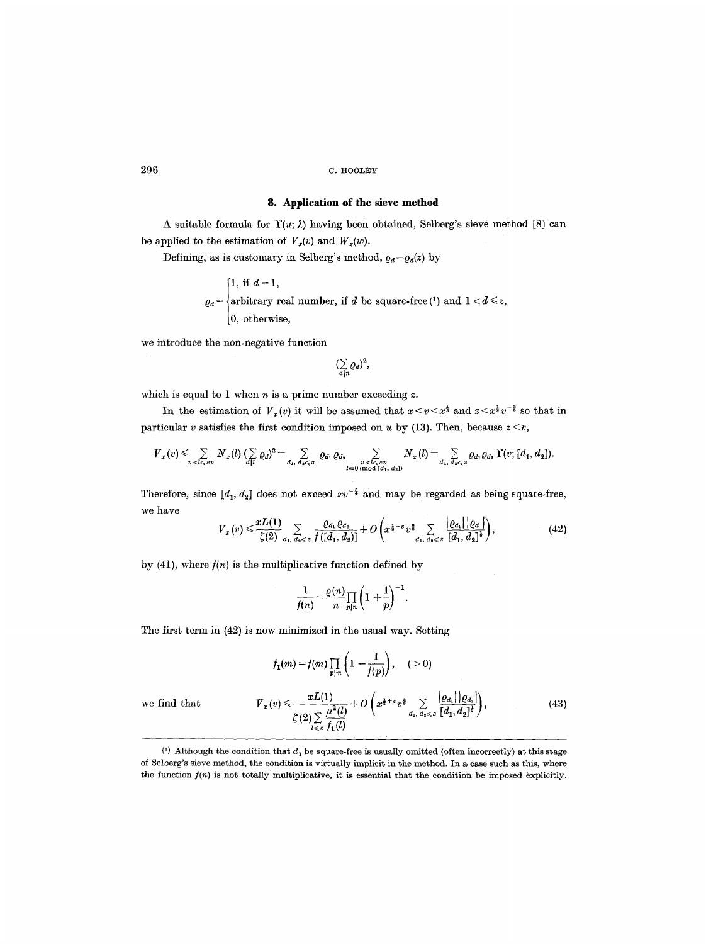## $296$  C. HOOLEY

## **8. Application of the sieve method**

A suitable formula for  $\Upsilon(u; \lambda)$  having been obtained, Selberg's sieve method [8] can be applied to the estimation of  $V_x(v)$  and  $W_x(w)$ .

Defining, as is customary in Selberg's method,  $\varrho_d = \varrho_d(z)$  by

$$
\varrho_d = \begin{cases} 1, \text{ if } d = 1, \\ \text{arbitrary real number, if } d \text{ be square-free} \, (1) \text{ and } 1 < d \leq z, \\ 0, \text{ otherwise,} \end{cases}
$$

we introduce the non-negative function

$$
(\sum_{d|n} Q_d)^2,
$$

which is equal to 1 when  $n$  is a prime number exceeding  $z$ .

In the estimation of  $V_x(v)$  it will be assumed that  $x \le v \le x^{\frac{1}{3}}$  and  $z \le x^{\frac{1}{2}}v^{-\frac{3}{8}}$  so that in particular v satisfies the first condition imposed on u by (13). Then, because  $z < v$ ,

$$
V_x(v) \leq \sum_{v < l \leq e} N_x(l) \left( \sum_{d|l} Q_d \right)^2 = \sum_{d_1, d_2 \leq z} Q_{d_1} Q_{d_2} \sum_{\substack{v < l \leq e \\ l \equiv 0 \pmod{[d_1, d_2]}}} N_x(l) = \sum_{d_1, d_2 \leq z} Q_{d_1} Q_{d_2} \Upsilon(v; [d_1, d_2]).
$$

Therefore, since  $[d_1, d_2]$  does not exceed  $xv^{-\frac{3}{4}}$  and may be regarded as being square-free, we have

$$
V_{x}(v) \leq \frac{xL(1)}{\zeta(2)} \sum_{d_{1}, d_{2} \leq z} \frac{\varrho_{d_{1}} \varrho_{d_{2}}}{f([d_{1}, d_{2})]} + O\left(x^{\frac{1}{2}+\epsilon} v^{\frac{2}{3}} \sum_{d_{1}, d_{2} \leq z} \frac{|\varrho_{d_{1}}| |\varrho_{d}|}{[d_{1}, d_{2}]^{\frac{1}{2}}}\right),
$$
(42)

by (41), where  $f(n)$  is the multiplicative function defined by

$$
\frac{1}{f(n)} = \frac{\varrho(n)}{n} \prod_{p|n} \left(1 + \frac{1}{p}\right)^{-1}.
$$

The first term in (42) is now minimized in the usual way. Setting

$$
f_1(m) = f(m) \prod_{p|m} \left(1 - \frac{1}{f(p)}\right), \quad (>0)
$$
  

$$
Y_x(v) \leq \frac{xL(1)}{\zeta(2) \sum\limits_{l \leq z} \frac{\mu^2(l)}{f_1(l)}} + O\left(x^{\frac{1}{2} + \epsilon} v^{\frac{3}{2}} \sum\limits_{d_1, d_2 \leq z} \frac{|Q_{d_1}| |Q_{d_2}|}{[d_1, d_2]^{\frac{1}{2}}}\right), \quad (43)
$$

we find that  $V$ 

 $(1)$  Although the condition that  $d_1$  be square-free is usually omitted (often incorrectly) at this stage of Selberg's sieve method, the condition is virtually implicit in the method. In a case such as this, where the function *f(n)* is not totally multiplieative, it is essential that the condition be imposed explicitly.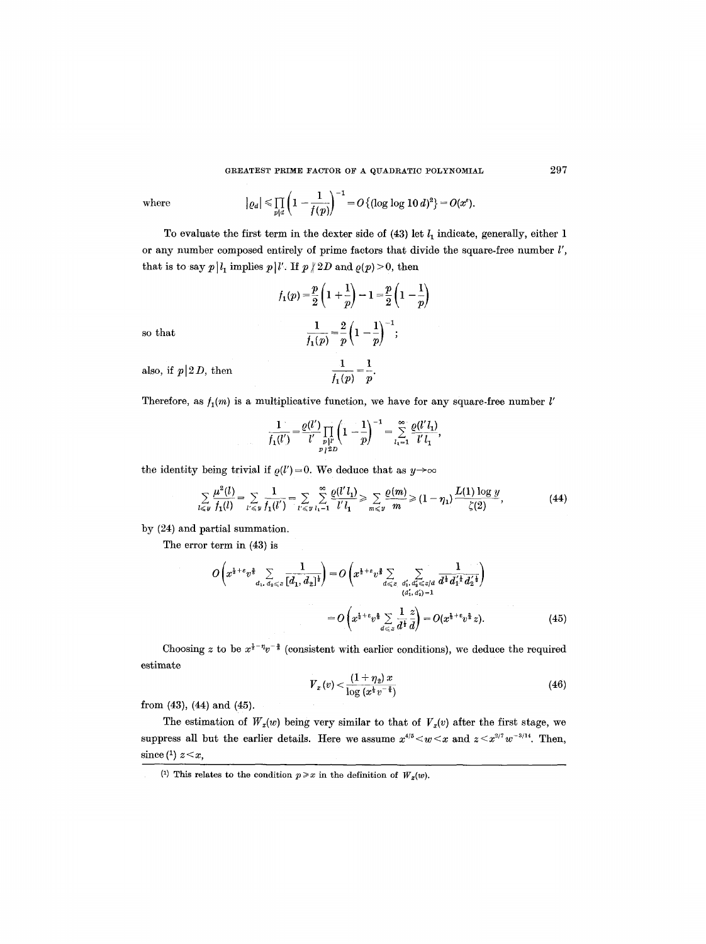where 
$$
|\varrho_d| \le \prod_{p|d} \left(1 - \frac{1}{f(p)}\right)^{-1} = O\{(\log \log 10 \, d)^2\} = O(x^e).
$$

To evaluate the first term in the dexter side of  $(43)$  let  $l_1$  indicate, generally, either 1 or any number composed entirely of prime factors that divide the square-free number  $l'$ , that is to say  $p | l_1$  implies  $p | l'$ . If  $p | 2D$  and  $\rho(p) > 0$ , then

$$
f_1(p) = \frac{p}{2} \left( 1 + \frac{1}{p} \right) - 1 = \frac{p}{2} \left( 1 - \frac{1}{p} \right)
$$
  
so that  

$$
\frac{1}{f_1(p)} = \frac{2}{p} \left( 1 - \frac{1}{p} \right)^{-1};
$$
  
also, if  $p \mid 2D$ , then  

$$
\frac{1}{f_1(p)} = \frac{1}{p}.
$$

also, if  $p \mid 2D$ , then

Therefore, as  $f_1(m)$  is a multiplicative function, we have for any square-free number  $l'$ 

$$
\frac{1}{f_1(l')} = \frac{\varrho(l')}{l'} \prod_{\substack{p \mid l' \\ p \nmid 2D}} \left(1 - \frac{1}{p}\right)^{-1} = \sum_{l_1=1}^{\infty} \frac{\varrho(l'l_1)}{l' l_1},
$$

the identity being trivial if  $\rho(l')=0$ . We deduce that as  $y\rightarrow\infty$ 

$$
\sum_{l \leq y} \frac{\mu^2(l)}{f_1(l)} = \sum_{l' \leq y} \frac{1}{f_1(l')} = \sum_{l' \leq y} \sum_{l_1=1}^{\infty} \frac{\varrho(l'l_1)}{l'l_1} \geq \sum_{m \leq y} \frac{\varrho(m)}{m} \geq (1 - \eta_1) \frac{L(1) \log y}{\zeta(2)},
$$
(44)

by (24) and partial summation.

The error term in (43) is

$$
O\left(x^{\frac{1}{2}+\epsilon}v^{\frac{3}{8}}\sum_{d_1, d_2\leq z}\frac{1}{[d_1, d_2]^{\frac{1}{2}}}\right)=O\left(x^{\frac{1}{2}+\epsilon}v^{\frac{3}{8}}\sum_{d\leq z}\sum_{\substack{d'_1, d'_2\leq z/d\\(d'_1, d'_2)=1}}\frac{1}{d^{\frac{1}{2}}d'_1^{\frac{1}{2}}d'_2^{\frac{1}{2}}}\right)
$$

$$
=O\left(x^{\frac{1}{2}+\epsilon}v^{\frac{3}{8}}\sum_{d\leq z}\frac{1}{d^{\frac{1}{2}}}\frac{z}{d}\right)=O(x^{\frac{1}{2}+\epsilon}v^{\frac{3}{8}}z).
$$
(45)

Choosing z to be  $x^{\frac{1}{2}-\eta}v^{-\frac{3}{2}}$  (consistent with earlier conditions), we deduce the required estimate

$$
V_x(v) < \frac{(1+\eta_2)x}{\log(x^{\frac{1}{2}}v^{-\frac{2}{3}})}
$$
\n(46)

from (43), (44) and (45).

The estimation of  $W_x(w)$  being very similar to that of  $V_x(v)$  after the first stage, we suppress all but the earlier details. Here we assume  $x^{4/5} \leq w \leq x$  and  $z \leq x^{2/7} w^{-3/14}$ . Then, since  $(1)$   $z \leq x$ ,

<sup>(1)</sup> This relates to the condition  $p \geq x$  in the definition of  $W_x(w)$ .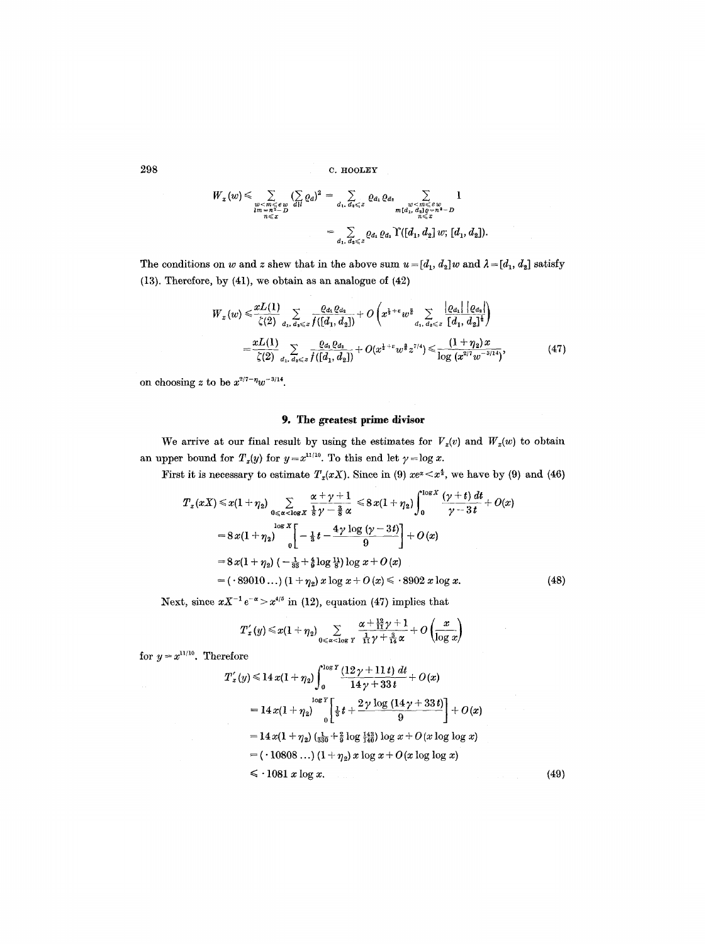298 C. H00LEY

$$
W_x(w) \leq \sum_{\substack{w < m \leq e \ w \\ lm = n^2 - D}} \sum_{\substack{d \mid l \\ all \ e \leq x}} (q_d)^2 = \sum_{d_1, d_2 \leq z} \varrho_{d_1} \varrho_{d_2} \sum_{\substack{w < m \leq e \ w \\ ml(d_1, d_2) e = n^2 - D \\ n \leq x}} 1
$$

$$
= \sum_{d_1, d_2 \leq z} \varrho_{d_1} \varrho_{d_2} \Upsilon([d_1, d_2] w; [d_1, d_2]).
$$

The conditions on *w* and *z* shew that in the above sum  $u = [d_1, d_2]w$  and  $\lambda = [d_1, d_2]$  satisfy (13). Therefore, by (41), we obtain as an analogue of (42)

$$
W_x(w) \leq \frac{xL(1)}{\zeta(2)} \sum_{d_1, d_2 \leq z} \frac{\varrho_{d_1} \varrho_{d_2}}{f([d_1, d_2])} + O\left(x^{1+\epsilon} w^{\frac{3}{2}} \sum_{d_1, d_2 \leq z} \frac{\left| \varrho_{d_1} \right| \left| \varrho_{d_2} \right|}{\left[ d_1, d_2 \right]^{\frac{1}{2}}} \right)
$$
  
= 
$$
\frac{xL(1)}{\zeta(2)} \sum_{d_1, d_2 \leq z} \frac{\varrho_{d_1} \varrho_{d_2}}{f([d_1, d_2])} + O(x^{1+\epsilon} w^{\frac{3}{2}} z^{7/4}) \leq \frac{(1+\eta_2) x}{\log (x^{2/7} w^{-5/14})},
$$
(47)

on choosing z to be  $x^{2/7-\eta}w^{-3/14}$ .

# 9. The **greatest prime** divisor

We arrive at our final result by using the estimates for  $V_x(v)$  and  $W_x(w)$  to obtain an upper bound for  $T_x(y)$  for  $y=x^{11/10}$ . To this end let  $\gamma = \log x$ .

First it is necessary to estimate  $T_x(xX)$ . Since in (9)  $xe^{\alpha} < x^{\frac{4}{3}}$ , we have by (9) and (46)

$$
T_x(xX) \le x(1+\eta_2) \sum_{0 \le x < \log X} \frac{x+y+1}{\frac{1}{8}y-\frac{3}{8}\alpha} \le 8x(1+\eta_2) \int_0^{\log X} \frac{(y+t) dt}{y-3t} + O(x)
$$
  
=  $8x(1+\eta_2) \Big|_0^{\log X} \Big[-\frac{1}{8}t - \frac{4\gamma \log (y-3t)}{9}\Big] + O(x)$   
=  $8x(1+\eta_2) (-\frac{1}{38}+\frac{4}{9}\log \frac{11}{8}) \log x + O(x)$   
=  $(.89010...)(1+\eta_2) x \log x + O(x) \le .8902 x \log x.$  (48)

Next, since  $xX^{-1}e^{-\alpha} > x^{4/5}$  in (12), equation (47) implies that

$$
T_x'(y) \!<\! x(1+\eta_2)\sum_{0<\alpha<\log Y}\frac{\alpha+\frac{12}{11}\gamma+1}{\frac{1}{11}\gamma+\frac{3}{14}\alpha}+O\left(\!\frac{x}{\log x}\!\right)
$$

for  $y = x^{11/10}$ . Therefore

$$
T'_x(y) \le 14 x (1 + \eta_2) \int_0^{\log Y} \frac{(12 \gamma + 11 t) dt}{14 \gamma + 33 t} + O(x)
$$
  
=  $14 x (1 + \eta_2) \bigg|_0^{\log Y} \bigg[ \frac{1}{3} t + \frac{2 \gamma \log (14 \gamma + 33 t)}{9} \bigg] + O(x)$   
=  $14 x (1 + \eta_2) \bigg( \frac{1}{330} + \frac{2}{9} \log \frac{143}{140} \bigg) \log x + O(x \log \log x)$   
=  $( \cdot 10808 \dots ) (1 + \eta_2) x \log x + O(x \log \log x)$   
 $\leq \cdot 1081 x \log x.$  (49)